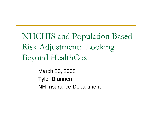NHCHIS and Population Based Risk Adjustment: Looking Beyond HealthCost

> March 20, 2008 Tyler Brannen NH Insurance Department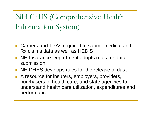NH CHIS (Comprehensive Health Information System)

- Carriers and TPAs required to submit medical and Rx claims data as well as HEDIS
- **NH Insurance Department adopts rules for data** submission
- $\mathcal{L}^{\text{max}}_{\text{max}}$ NH DHHS develops rules for the release of data
- $\mathcal{L}^{\text{max}}_{\text{max}}$  A resource for insurers, employers, providers, purchasers of health care, and state agencies to understand health care utilization, expenditures and performance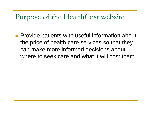### Purpose of the HealthCost website

 $\left\vert \begin{array}{c} 0 \\ 0 \end{array} \right\vert$  Provide patients with useful information about the price of health care services so that they can make more informed decisions about where to seek care and what it will cost them.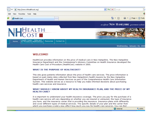

#### **WELCOME!**

HealthCost provides information on the price of medical care in New Hampshire. The New Hampshire Insurance Department and the Commissioner's Advisory Committee on Health Insurance developed the Health Care Cost of Procedure (HealthCost) website in 2005.

#### WHAT IS THE PURPOSE OF HEALTHCOST?

This site gives patients information about the price of health care services. The price information is based on paid claims data collected from New Hampshire's health insurers by the New Hampshire Department of Health and Human Services as part of the Comprehensive Health Care Information System. This website serves as a resource to help you make informed decisions about purchasing health care services and insurance.

#### WHAT SHOULD I KNOW ABOUT MY HEALTH INSURANCE PLAN, AND THE PRICE OF MY **HEALTH CARE?**

It is important to understand your health insurance coverage. The price you pay for the purchase of a health care service will vary depending on whether you are insured or uninsured, the type of insurance you have, and the insurance carrier that is providing the insurance. Insurance plans work differently and cover different types of medical services. The specific details of your plan and the carrier from which you nurchase a policy may affect how much you pay for health care services. You can find

 $\bigoplus$  Internet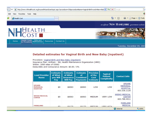

#### **Detailed estimates for Vaginal Birth and New Baby (inpatient)**

Procedure: Vaginal Birth and New Baby (inpatient) Insurance Plan: Anthem - NH, Health Maintenance Organization (HMO) Within: 1000 miles of 03062 Deductible and Coinsurance Amount: \$0.00 / 0%

| <b>Lead Provider</b><br><b>Name</b>                 | <b>Estimate</b><br>of What<br>you Will<br>Pay | <b>Estimate</b><br>of What<br><b>Insurance</b><br><b>Will Pay</b> | <b>Estimate</b><br>of<br><b>Combined</b><br><b>Payments</b> | <b>Precision</b><br>of the<br>Cost<br><b>Estimate</b> | <b>Typical</b><br><b>Patient</b><br><b>Complexity</b> | <b>Contact Info</b>                                                 |
|-----------------------------------------------------|-----------------------------------------------|-------------------------------------------------------------------|-------------------------------------------------------------|-------------------------------------------------------|-------------------------------------------------------|---------------------------------------------------------------------|
| <b>SPEARE</b><br><b>MEMORIAL</b><br><b>HOSPITAL</b> | \$0                                           | \$6063                                                            | \$6063                                                      | LOW                                                   | LOW                                                   | <b>SPEARE</b><br><b>MEMORIAL</b><br><b>HOSPITAL</b><br>603.536.1120 |
| <b>WEEKS MEDICAL</b><br><b>CENTER</b>               | \$0                                           | \$6063                                                            | \$6063                                                      | <b>MEDIUM</b>                                         | <b>VERY LOW</b>                                       | <b>WEEKS MEDICAL</b><br><b>CENTER</b><br>603.788.4911               |
| <b>PARKLAND</b>                                     | ል በ                                           | 66170                                                             | <b>¢6170</b>                                                | <b>MEDTLIM</b>                                        | <b>VEDY LITEL</b>                                     | <b>PARKLAND</b><br><b>MEDICAL</b>                                   |
|                                                     |                                               |                                                                   |                                                             |                                                       |                                                       | Internet                                                            |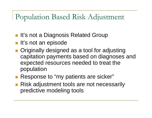### Population Based Risk Adjustment

- **It's not a Diagnosis Related Group**
- **It's not an episode**
- **Originally designed as a tool for adjusting** capitation payments based on diagnoses and expected resources needed to treat the population
- **Response to "my patients are sicker"**
- **Risk adjustment tools are not necessarily** predictive modeling tools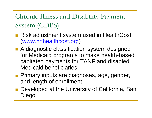Chronic Illness and Disability Payment System (CDPS)

- Risk adjustment system used in HealthCost (www.nhhealthcost.org )
- **A diagnostic classification system designed** for Medicaid programs to make health-based capitated payments for TANF and disabled Medicaid beneficiaries.
- **Primary inputs are diagnoses, age, gender,** and length of enrollment
- Developed at the University of California, San Diego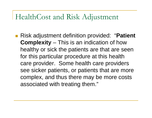#### HealthCost and Risk Adjustment

■ Risk adjustment definition provided: "**Patient Complexity** – This is an indication of how healthy or sick the patients are that are seen for this particular procedure at this health care provider. Some health care providers see sicker patients, or patients that are more complex, and thus there may be more costs associated with treating them."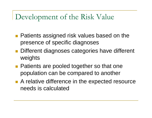## Development of the Risk Value

- **Patients assigned risk values based on the** presence of specific diagnoses
- **Different diagnoses categories have different** weights
- **Patients are pooled together so that one** population can be compared to another
- A relative difference in the expected resource needs is calculated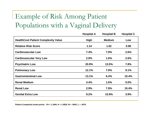## Example of Risk Among Patient Populations with a Vaginal Delivery

|                                            | <b>Hospital A</b> | <b>Hospital B</b> | <b>Hospital C</b> |
|--------------------------------------------|-------------------|-------------------|-------------------|
| <b>HealthCost Patient Complexity Value</b> | <b>High</b>       | <b>Medium</b>     | Low               |
| <b>Relative Risk Score</b>                 | 1.14              | 1.02              | 0.99              |
| <b>Cardiovascular Low</b>                  | 7.3%              | 7.9%              | 2.6%              |
| <b>Cardiovascular Very Low</b>             | 2.9%              | 1.6%              | 2.6%              |
| <b>Psychiatric Low</b>                     | 20.9%             | 13.5%             | 7.8%              |
| <b>Pulmonary Low</b>                       | 12.1%             | 7.9%              | 9.1%              |
| <b>Gastrointestinal Low</b>                | 13.1%             | 6.4%              | 10.4%             |
| <b>Renal Medium</b>                        | 4.4%              | 1.6%              | $0.0\%$           |
| <b>Renal Low</b>                           | 2.9%              | 7.9%              | 10.4%             |
| <b>Genital Extra Low</b>                   | 9.2%              | 15.9%             | 3.9%              |

**Patient Complexity break points: VH = 1.1694, H = 1.0820, M = .9943, L = .9476**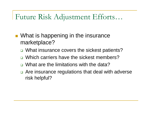### Future Risk Adjustment Efforts…

- **Number 10 Is in Seppening in the insurance** marketplace?
	- □ What insurance covers the sickest patients?
	- $\Box$ Which carriers have the sickest members?
	- $\Box$ What are the limitations with the data?
	- □ Are insurance regulations that deal with adverse risk helpful?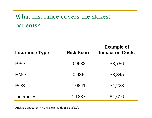## What insurance covers the sickest patients?

| <b>Insurance Type</b> | <b>Risk Score</b> | <b>Example of</b><br><b>Impact on Costs</b> |
|-----------------------|-------------------|---------------------------------------------|
| <b>PPO</b>            | 0.9632            | \$3,756                                     |
| <b>HMO</b>            | 0.986             | \$3,845                                     |
| <b>POS</b>            | 1.0841            | \$4,228                                     |
| Indemnity             | 1.1837            | \$4,616                                     |

Analysis based on NHCHIS claims data YE 3/31/07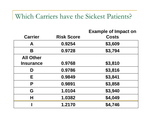#### Which Carriers have the Sickest Patients?

| <b>Carrier</b>   | <b>Risk Score</b> | <b>Example of Impact on</b><br><b>Costs</b> |
|------------------|-------------------|---------------------------------------------|
| A                | 0.9254            | \$3,609                                     |
| B                | 0.9728            | \$3,794                                     |
| <b>All Other</b> |                   |                                             |
| <b>Insurance</b> | 0.9768            | \$3,810                                     |
| D                | 0.9786            | \$3,816                                     |
| Е                | 0.9849            | \$3,841                                     |
| P                | 0.9891            | \$3,858                                     |
| G                | 1.0104            | \$3,940                                     |
| Н                | 1.0382            | \$4,049                                     |
|                  | 1.2170            | \$4,746                                     |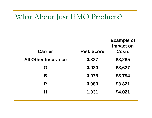## What About Just HMO Products?

| <b>Carrier</b>             | <b>Risk Score</b> | <b>Example of</b><br><b>Impact on</b><br><b>Costs</b> |
|----------------------------|-------------------|-------------------------------------------------------|
| <b>All Other Insurance</b> | 0.837             | \$3,265                                               |
| G                          | 0.930             | \$3,627                                               |
| Β                          | 0.973             | \$3,794                                               |
| P                          | 0.980             | \$3,821                                               |
| Н                          | 1.031             | \$4,021                                               |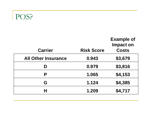# POS?

| <b>Carrier</b>             | <b>Risk Score</b> | <b>Example of</b><br><b>Impact on</b><br><b>Costs</b> |
|----------------------------|-------------------|-------------------------------------------------------|
| <b>All Other Insurance</b> | 0.943             | \$3,679                                               |
| D                          | 0.979             | \$3,816                                               |
| P                          | 1.065             | \$4,153                                               |
| G                          | 1.124             | \$4,385                                               |
| Н                          | 1.209             | \$4,717                                               |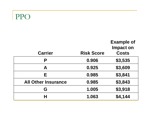## PPO

| <b>Carrier</b>             | <b>Risk Score</b> | <b>Example of</b><br><b>Impact on</b><br><b>Costs</b> |
|----------------------------|-------------------|-------------------------------------------------------|
| P                          | 0.906             | \$3,535                                               |
| A                          | 0.925             | \$3,609                                               |
| Е                          | 0.985             | \$3,841                                               |
| <b>All Other Insurance</b> | 0.985             | \$3,843                                               |
| G                          | 1.005             | \$3,918                                               |
| Н                          | 1.063             | \$4,144                                               |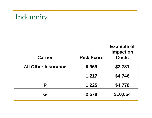# Indemnity

| <b>Carrier</b>             | <b>Risk Score</b> | <b>Example of</b><br><b>Impact on</b><br><b>Costs</b> |
|----------------------------|-------------------|-------------------------------------------------------|
| <b>All Other Insurance</b> | 0.969             | \$3,781                                               |
|                            | 1.217             | \$4,746                                               |
| P                          | 1.225             | \$4,778                                               |
| G                          | 2.578             | \$10,054                                              |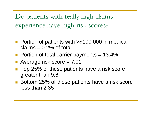Do patients with really high claims experience have high risk scores?

- $\mathcal{L}(\mathcal{A})$  Portion of patients with >\$100,000 in medical claims  $= 0.2\%$  of total
- **Portion of total carrier payments = 13.4%**

■ Average risk score = 7.01

- Top 25% of these patients have a risk score greater than 9.6
- Bottom 25% of these patients have a risk score less than 2.35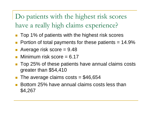Do patients with the highest risk scores have a really high claims experience?

- Top 1% of patients with the highest risk scores
- Portion of total payments for these patients = 14.9%
- $\mathcal{L}_{\mathcal{A}}$ Average risk score = 9.48
- $\blacksquare$  Minimum risk score = 6.17
- Top 25% of these patients have annual claims costs greater than \$54,410
- The average claims  $costs = $46,654$
- П Bottom 25% have annual claims costs less than \$4,267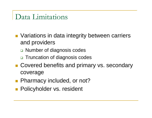### Data Limitations

- **Nariations in data integrity between carriers** and providers
	- □ Number of diagnosis codes
	- □ Truncation of diagnosis codes
- Covered benefits and primary vs. secondary coverage
- **Pharmacy included, or not?**
- **Policyholder vs. resident**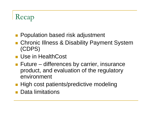# Recap

- **Population based risk adjustment**
- Chronic IIIness & Disability Payment System (CDPS)
- **Use in HealthCost**
- **Future differences by carrier, insurance** product, and evaluation of the regulatory environment
- **High cost patients/predictive modeling**
- Data limitations